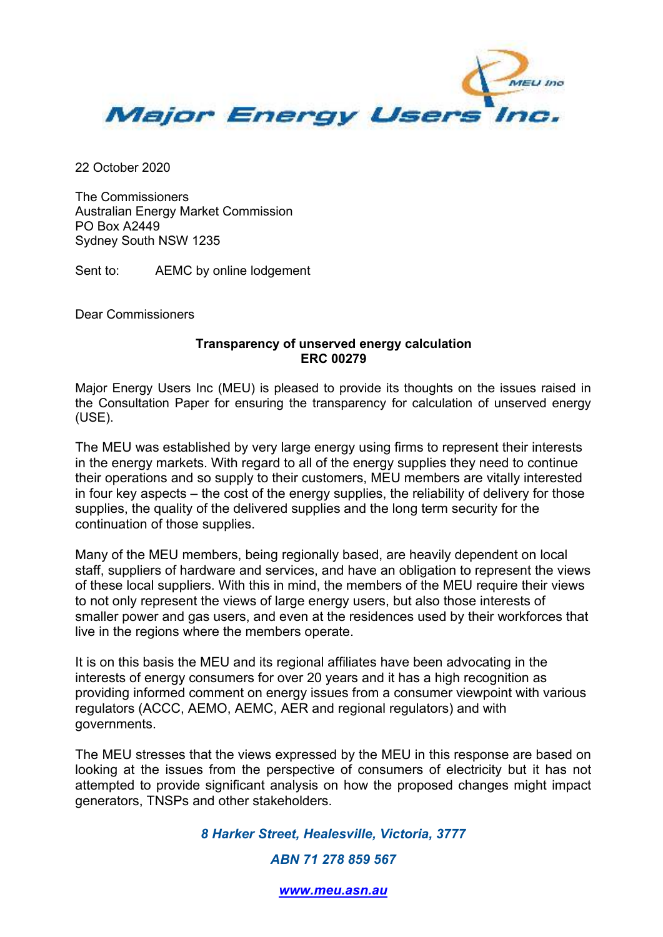

22 October 2020

The Commissioners Australian Energy Market Commission PO Box A2449 Sydney South NSW 1235

Sent to: AEMC by online lodgement

Dear Commissioners

## **Transparency of unserved energy calculation ERC 00279**

Major Energy Users Inc (MEU) is pleased to provide its thoughts on the issues raised in the Consultation Paper for ensuring the transparency for calculation of unserved energy (USE).

The MEU was established by very large energy using firms to represent their interests in the energy markets. With regard to all of the energy supplies they need to continue their operations and so supply to their customers, MEU members are vitally interested in four key aspects – the cost of the energy supplies, the reliability of delivery for those supplies, the quality of the delivered supplies and the long term security for the continuation of those supplies.

Many of the MEU members, being regionally based, are heavily dependent on local staff, suppliers of hardware and services, and have an obligation to represent the views of these local suppliers. With this in mind, the members of the MEU require their views to not only represent the views of large energy users, but also those interests of smaller power and gas users, and even at the residences used by their workforces that live in the regions where the members operate.

It is on this basis the MEU and its regional affiliates have been advocating in the interests of energy consumers for over 20 years and it has a high recognition as providing informed comment on energy issues from a consumer viewpoint with various regulators (ACCC, AEMO, AEMC, AER and regional regulators) and with governments.

The MEU stresses that the views expressed by the MEU in this response are based on looking at the issues from the perspective of consumers of electricity but it has not attempted to provide significant analysis on how the proposed changes might impact generators, TNSPs and other stakeholders.

*8 Harker Street, Healesville, Victoria, 3777* 

*ABN 71 278 859 567* 

*www.meu.asn.au*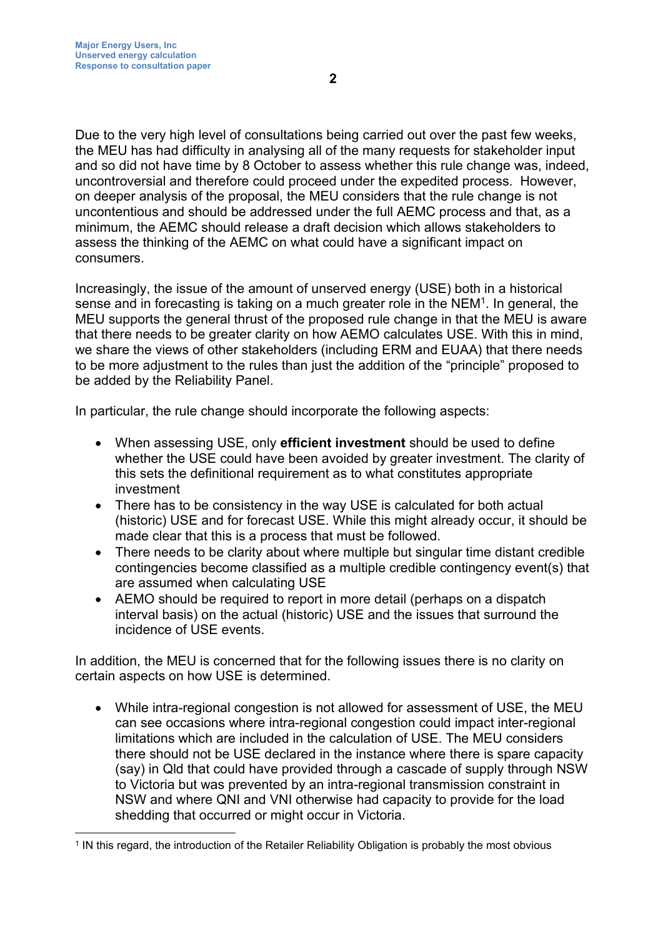Due to the very high level of consultations being carried out over the past few weeks, the MEU has had difficulty in analysing all of the many requests for stakeholder input and so did not have time by 8 October to assess whether this rule change was, indeed, uncontroversial and therefore could proceed under the expedited process. However, on deeper analysis of the proposal, the MEU considers that the rule change is not uncontentious and should be addressed under the full AEMC process and that, as a minimum, the AEMC should release a draft decision which allows stakeholders to assess the thinking of the AEMC on what could have a significant impact on consumers.

Increasingly, the issue of the amount of unserved energy (USE) both in a historical sense and in forecasting is taking on a much greater role in the NEM<sup>1</sup>. In general, the MEU supports the general thrust of the proposed rule change in that the MEU is aware that there needs to be greater clarity on how AEMO calculates USE. With this in mind, we share the views of other stakeholders (including ERM and EUAA) that there needs to be more adjustment to the rules than just the addition of the "principle" proposed to be added by the Reliability Panel.

In particular, the rule change should incorporate the following aspects:

- When assessing USE, only **efficient investment** should be used to define whether the USE could have been avoided by greater investment. The clarity of this sets the definitional requirement as to what constitutes appropriate investment
- There has to be consistency in the way USE is calculated for both actual (historic) USE and for forecast USE. While this might already occur, it should be made clear that this is a process that must be followed.
- There needs to be clarity about where multiple but singular time distant credible contingencies become classified as a multiple credible contingency event(s) that are assumed when calculating USE
- AEMO should be required to report in more detail (perhaps on a dispatch interval basis) on the actual (historic) USE and the issues that surround the incidence of USE events.

In addition, the MEU is concerned that for the following issues there is no clarity on certain aspects on how USE is determined.

 While intra-regional congestion is not allowed for assessment of USE, the MEU can see occasions where intra-regional congestion could impact inter-regional limitations which are included in the calculation of USE. The MEU considers there should not be USE declared in the instance where there is spare capacity (say) in Qld that could have provided through a cascade of supply through NSW to Victoria but was prevented by an intra-regional transmission constraint in NSW and where QNI and VNI otherwise had capacity to provide for the load shedding that occurred or might occur in Victoria.

<sup>1</sup> IN this regard, the introduction of the Retailer Reliability Obligation is probably the most obvious